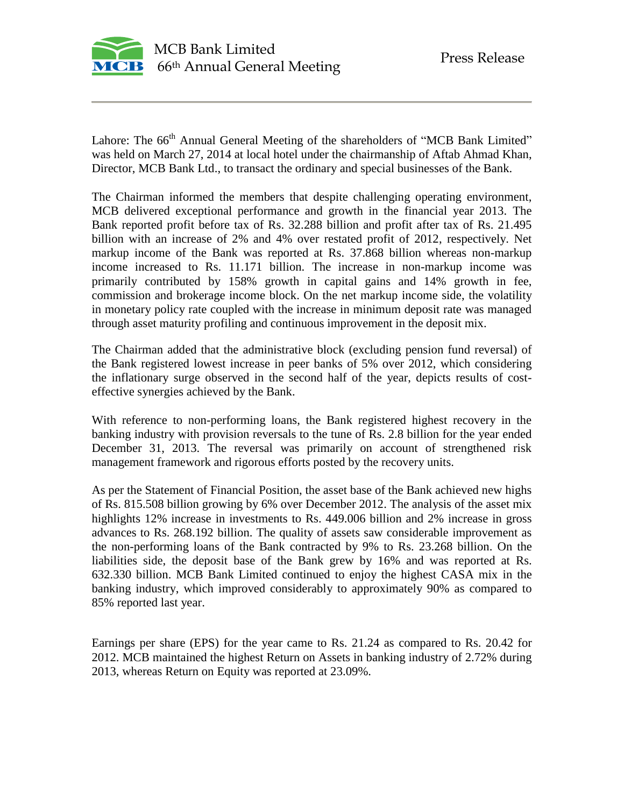

Lahore: The 66<sup>th</sup> Annual General Meeting of the shareholders of "MCB Bank Limited" was held on March 27, 2014 at local hotel under the chairmanship of Aftab Ahmad Khan, Director, MCB Bank Ltd., to transact the ordinary and special businesses of the Bank.

The Chairman informed the members that despite challenging operating environment, MCB delivered exceptional performance and growth in the financial year 2013. The Bank reported profit before tax of Rs. 32.288 billion and profit after tax of Rs. 21.495 billion with an increase of 2% and 4% over restated profit of 2012, respectively. Net markup income of the Bank was reported at Rs. 37.868 billion whereas non-markup income increased to Rs. 11.171 billion. The increase in non-markup income was primarily contributed by 158% growth in capital gains and 14% growth in fee, commission and brokerage income block. On the net markup income side, the volatility in monetary policy rate coupled with the increase in minimum deposit rate was managed through asset maturity profiling and continuous improvement in the deposit mix.

The Chairman added that the administrative block (excluding pension fund reversal) of the Bank registered lowest increase in peer banks of 5% over 2012, which considering the inflationary surge observed in the second half of the year, depicts results of costeffective synergies achieved by the Bank.

With reference to non-performing loans, the Bank registered highest recovery in the banking industry with provision reversals to the tune of Rs. 2.8 billion for the year ended December 31, 2013. The reversal was primarily on account of strengthened risk management framework and rigorous efforts posted by the recovery units.

As per the Statement of Financial Position, the asset base of the Bank achieved new highs of Rs. 815.508 billion growing by 6% over December 2012. The analysis of the asset mix highlights 12% increase in investments to Rs. 449.006 billion and 2% increase in gross advances to Rs. 268.192 billion. The quality of assets saw considerable improvement as the non-performing loans of the Bank contracted by 9% to Rs. 23.268 billion. On the liabilities side, the deposit base of the Bank grew by 16% and was reported at Rs. 632.330 billion. MCB Bank Limited continued to enjoy the highest CASA mix in the banking industry, which improved considerably to approximately 90% as compared to 85% reported last year.

Earnings per share (EPS) for the year came to Rs. 21.24 as compared to Rs. 20.42 for 2012. MCB maintained the highest Return on Assets in banking industry of 2.72% during 2013, whereas Return on Equity was reported at 23.09%.